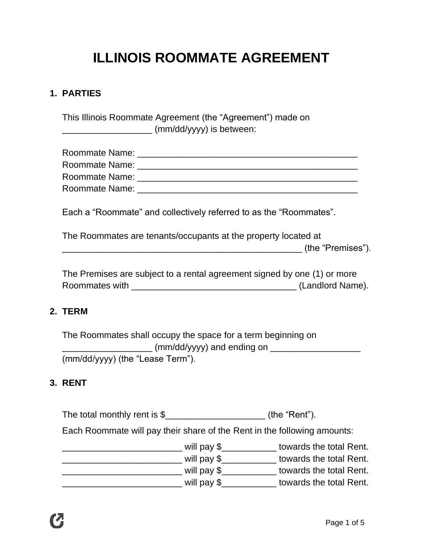# **ILLINOIS ROOMMATE AGREEMENT**

#### **1. PARTIES**

This Illinois Roommate Agreement (the "Agreement") made on \_\_\_\_\_\_\_\_\_\_\_\_\_\_\_\_\_\_ (mm/dd/yyyy) is between:

| Roommate Name: |  |
|----------------|--|
| Roommate Name: |  |
| Roommate Name: |  |
| Roommate Name: |  |

Each a "Roommate" and collectively referred to as the "Roommates".

The Roommates are tenants/occupants at the property located at \_\_\_\_\_\_\_\_\_\_\_\_\_\_\_\_\_\_\_\_\_\_\_\_\_\_\_\_\_\_\_\_\_\_\_\_\_\_\_\_\_\_\_\_\_\_\_\_ (the "Premises").

The Premises are subject to a rental agreement signed by one (1) or more Roommates with \_\_\_\_\_\_\_\_\_\_\_\_\_\_\_\_\_\_\_\_\_\_\_\_\_\_\_\_\_\_\_\_\_ (Landlord Name).

## **2. TERM**

The Roommates shall occupy the space for a term beginning on \_\_\_\_\_\_\_\_\_\_\_\_\_\_\_\_\_\_\_\_\_\_\_\_ (mm/dd/yyyy) and ending on \_\_\_\_\_\_\_\_\_\_\_\_\_\_\_\_\_\_\_\_\_\_\_\_\_\_\_\_ (mm/dd/yyyy) (the "Lease Term").

#### **3. RENT**

The total monthly rent is \$\_\_\_\_\_\_\_\_\_\_\_\_\_\_\_\_\_\_\_\_\_(the "Rent").

Each Roommate will pay their share of the Rent in the following amounts:

| will pay \$ | towards the total Rent. |
|-------------|-------------------------|
| will pay \$ | towards the total Rent. |
| will pay \$ | towards the total Rent. |
| will pay \$ | towards the total Rent. |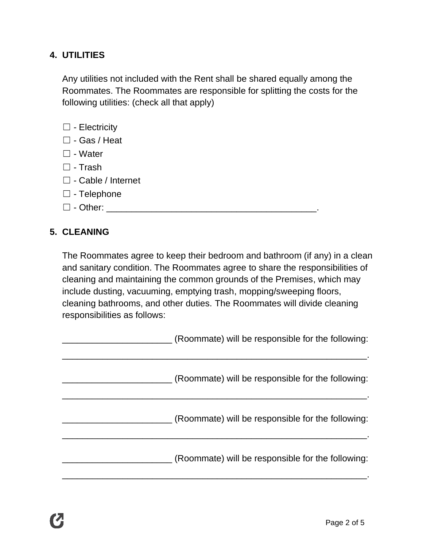## **4. UTILITIES**

Any utilities not included with the Rent shall be shared equally among the Roommates. The Roommates are responsible for splitting the costs for the following utilities: (check all that apply)

- □ Electricity
- ☐ Gas / Heat
- ☐ Water
- $\square$  Trash
- ☐ Cable / Internet
- ☐ Telephone
- ☐ Other: \_\_\_\_\_\_\_\_\_\_\_\_\_\_\_\_\_\_\_\_\_\_\_\_\_\_\_\_\_\_\_\_\_\_\_\_\_\_\_\_\_\_.

#### **5. CLEANING**

The Roommates agree to keep their bedroom and bathroom (if any) in a clean and sanitary condition. The Roommates agree to share the responsibilities of cleaning and maintaining the common grounds of the Premises, which may include dusting, vacuuming, emptying trash, mopping/sweeping floors, cleaning bathrooms, and other duties. The Roommates will divide cleaning responsibilities as follows:

| (Roommate) will be responsible for the following: |
|---------------------------------------------------|
| (Roommate) will be responsible for the following: |
| (Roommate) will be responsible for the following: |
| (Roommate) will be responsible for the following: |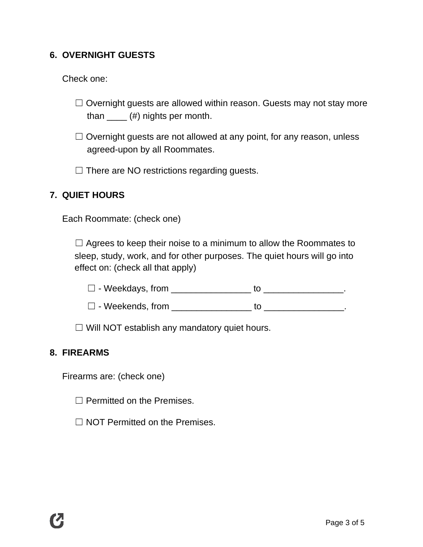## **6. OVERNIGHT GUESTS**

Check one:

- $\Box$  Overnight guests are allowed within reason. Guests may not stay more than  $\mu$  (#) nights per month.
- $\Box$  Overnight guests are not allowed at any point, for any reason, unless agreed-upon by all Roommates.
- $\Box$  There are NO restrictions regarding guests.

## **7. QUIET HOURS**

Each Roommate: (check one)

 $\Box$  Agrees to keep their noise to a minimum to allow the Roommates to sleep, study, work, and for other purposes. The quiet hours will go into effect on: (check all that apply)

- $\Box$  Weekdays, from  $\Box$  to  $\Box$  .
- ☐ Weekends, from \_\_\_\_\_\_\_\_\_\_\_\_\_\_\_\_ to \_\_\_\_\_\_\_\_\_\_\_\_\_\_\_\_.

☐ Will NOT establish any mandatory quiet hours.

#### **8. FIREARMS**

Firearms are: (check one)

□ Permitted on the Premises.

□ NOT Permitted on the Premises.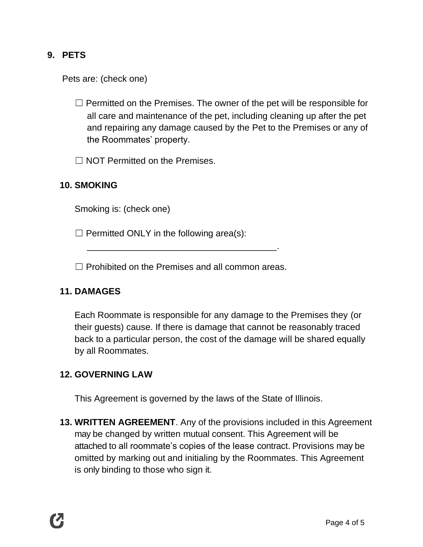## **9. PETS**

Pets are: (check one)

- $\Box$  Permitted on the Premises. The owner of the pet will be responsible for all care and maintenance of the pet, including cleaning up after the pet and repairing any damage caused by the Pet to the Premises or any of the Roommates' property.
- $\Box$  NOT Permitted on the Premises.

## **10. SMOKING**

Smoking is: (check one)

 $\Box$  Permitted ONLY in the following area(s):

☐ Prohibited on the Premises and all common areas.

\_\_\_\_\_\_\_\_\_\_\_\_\_\_\_\_\_\_\_\_\_\_\_\_\_\_\_\_\_\_\_\_\_\_\_\_\_\_.

## **11. DAMAGES**

Each Roommate is responsible for any damage to the Premises they (or their guests) cause. If there is damage that cannot be reasonably traced back to a particular person, the cost of the damage will be shared equally by all Roommates.

#### **12. GOVERNING LAW**

This Agreement is governed by the laws of the State of Illinois.

**13. WRITTEN AGREEMENT**. Any of the provisions included in this Agreement may be changed by written mutual consent. This Agreement will be attached to all roommate's copies of the lease contract. Provisions may be omitted by marking out and initialing by the Roommates. This Agreement is only binding to those who sign it.